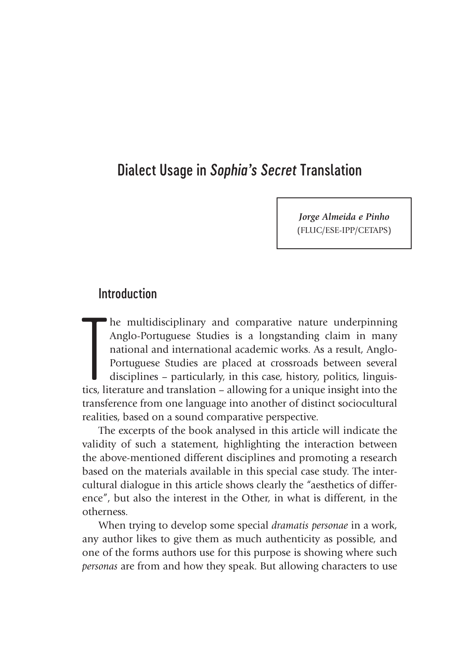# Dialect Usage in *Sophia's Secret* Translation

*Jorge Almeida e Pinho* (FLUC/ESE-IPP/CETAPS)

# Introduction

The multidisciplinary and comparative nature underpinning Anglo-Portuguese Studies is a longstanding claim in many national and international academic works. As a result, Anglo-Portuguese Studies are placed at crossroads b he multidisciplinary and comparative nature underpinning Anglo-Portuguese Studies is a longstanding claim in many national and international academic works. As a result, Anglo-Portuguese Studies are placed at crossroads between several disciplines – particularly, in this case, history, politics, linguistransference from one language into another of distinct sociocultural realities, based on a sound comparative perspective.

The excerpts of the book analysed in this article will indicate the validity of such a statement, highlighting the interaction between the above-mentioned different disciplines and promoting a research based on the materials available in this special case study. The intercultural dialogue in this article shows clearly the "aesthetics of difference", but also the interest in the Other, in what is different, in the otherness.

When trying to develop some special *dramatis personae* in a work, any author likes to give them as much authenticity as possible, and one of the forms authors use for this purpose is showing where such *personas* are from and how they speak. But allowing characters to use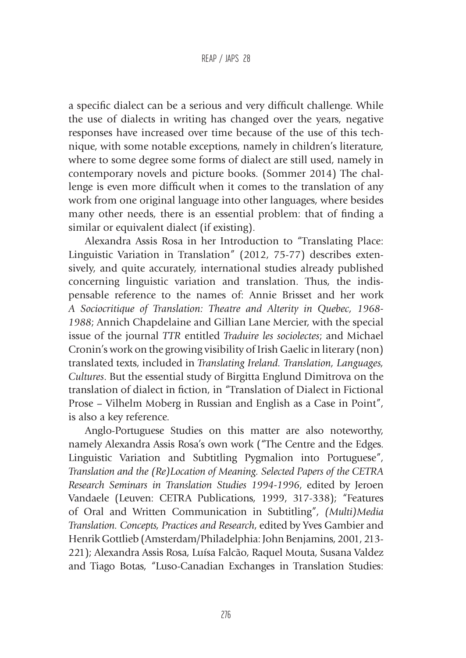a specific dialect can be a serious and very difficult challenge. While the use of dialects in writing has changed over the years, negative responses have increased over time because of the use of this technique, with some notable exceptions, namely in children's literature, where to some degree some forms of dialect are still used, namely in contemporary novels and picture books. (Sommer 2014) The challenge is even more difficult when it comes to the translation of any work from one original language into other languages, where besides many other needs, there is an essential problem: that of finding a similar or equivalent dialect (if existing).

Alexandra Assis Rosa in her Introduction to "Translating Place: Linguistic Variation in Translation" (2012, 75-77) describes extensively, and quite accurately, international studies already published concerning linguistic variation and translation. Thus, the indispensable reference to the names of: Annie Brisset and her work *A Sociocritique of Translation: Theatre and Alterity in Quebec, 1968- 1988*; Annich Chapdelaine and Gillian Lane Mercier, with the special issue of the journal *TTR* entitled *Traduire les sociolectes*; and Michael Cronin's work on the growing visibility of Irish Gaelic in literary (non) translated texts, included in *Translating Ireland. Translation, Languages, Cultures*. But the essential study of Birgitta Englund Dimitrova on the translation of dialect in fiction, in "Translation of Dialect in Fictional Prose – Vilhelm Moberg in Russian and English as a Case in Point", is also a key reference.

Anglo-Portuguese Studies on this matter are also noteworthy, namely Alexandra Assis Rosa's own work ("The Centre and the Edges. Linguistic Variation and Subtitling Pygmalion into Portuguese", *Translation and the (Re)Location of Meaning. Selected Papers of the CETRA Research Seminars in Translation Studies 1994-1996*, edited by Jeroen Vandaele (Leuven: CETRA Publications, 1999, 317-338); "Features of Oral and Written Communication in Subtitling", *(Multi)Media Translation. Concepts, Practices and Research*, edited by Yves Gambier and Henrik Gottlieb (Amsterdam/Philadelphia: John Benjamins, 2001, 213- 221); Alexandra Assis Rosa, Luísa Falcão, Raquel Mouta, Susana Valdez and Tiago Botas, "Luso-Canadian Exchanges in Translation Studies: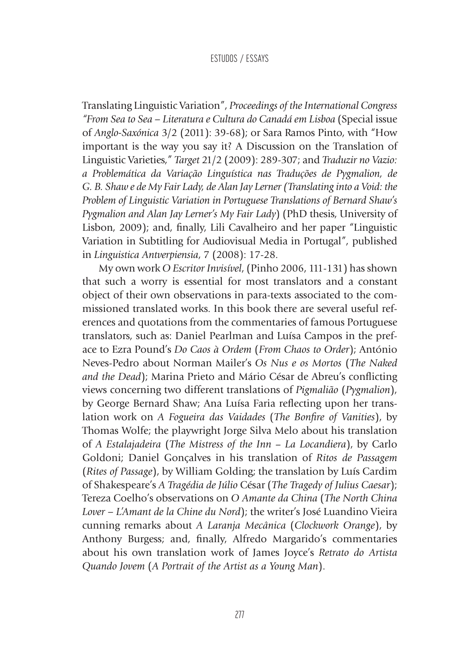Translating Linguistic Variation", *Proceedings of the International Congress "From Sea to Sea – Literatura e Cultura do Canadá em Lisboa* (Special issue of *Anglo-Saxónica* 3/2 (2011): 39-68); or Sara Ramos Pinto, with "How important is the way you say it? A Discussion on the Translation of Linguistic Varieties," *Target* 21/2 (2009): 289-307; and *Traduzir no Vazio: a Problemática da Variação Linguística nas Traduções de Pygmalion, de G. B. Shaw e de My Fair Lady, de Alan Jay Lerner (Translating into a Void: the Problem of Linguistic Variation in Portuguese Translations of Bernard Shaw's Pygmalion and Alan Jay Lerner's My Fair Lady*) (PhD thesis, University of Lisbon, 2009); and, finally, Lili Cavalheiro and her paper "Linguistic Variation in Subtitling for Audiovisual Media in Portugal", published in *Linguistica Antverpiensia*, 7 (2008): 17-28.

My own work *O Escritor Invisível*, (Pinho 2006, 111-131) has shown that such a worry is essential for most translators and a constant object of their own observations in para-texts associated to the commissioned translated works. In this book there are several useful references and quotations from the commentaries of famous Portuguese translators, such as: Daniel Pearlman and Luísa Campos in the preface to Ezra Pound's *Do Caos à Ordem* (*From Chaos to Order*); António Neves-Pedro about Norman Mailer's *Os Nus e os Mortos* (*The Naked and the Dead*); Marina Prieto and Mário César de Abreu's conflicting views concerning two different translations of *Pigmalião* (*Pygmalion*), by George Bernard Shaw; Ana Luísa Faria reflecting upon her translation work on *A Fogueira das Vaidades* (*The Bonfire of Vanities*), by Thomas Wolfe; the playwright Jorge Silva Melo about his translation of *A Estalajadeira* (*The Mistress of the Inn* – *La Locandiera*), by Carlo Goldoni; Daniel Gonçalves in his translation of *Ritos de Passagem* (*Rites of Passage*), by William Golding; the translation by Luís Cardim of Shakespeare's *A Tragédia de Júlio* César (*The Tragedy of Julius Caesar*); Tereza Coelho's observations on *O Amante da China* (*The North China Lover – L'Amant de la Chine du Nord*); the writer's José Luandino Vieira cunning remarks about *A Laranja Mecânica* (*Clockwork Orange*), by Anthony Burgess; and, finally, Alfredo Margarido's commentaries about his own translation work of James Joyce's *Retrato do Artista Quando Jovem* (*A Portrait of the Artist as a Young Man*).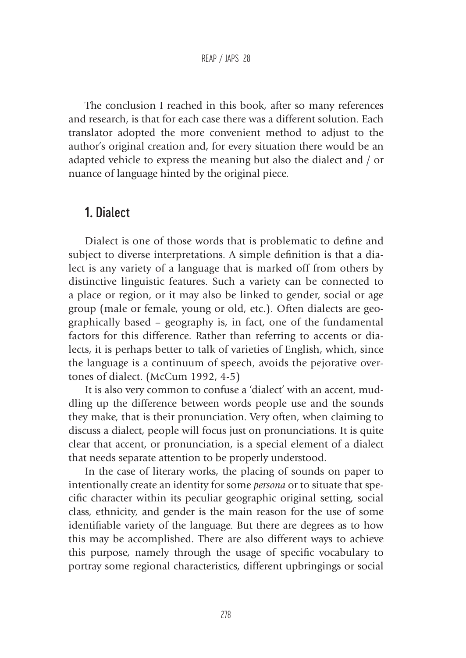The conclusion I reached in this book, after so many references and research, is that for each case there was a different solution. Each translator adopted the more convenient method to adjust to the author's original creation and, for every situation there would be an adapted vehicle to express the meaning but also the dialect and / or nuance of language hinted by the original piece.

## 1. Dialect

Dialect is one of those words that is problematic to define and subject to diverse interpretations. A simple definition is that a dialect is any variety of a language that is marked off from others by distinctive linguistic features. Such a variety can be connected to a place or region, or it may also be linked to gender, social or age group (male or female, young or old, etc.). Often dialects are geographically based – geography is, in fact, one of the fundamental factors for this difference. Rather than referring to accents or dialects, it is perhaps better to talk of varieties of English, which, since the language is a continuum of speech, avoids the pejorative overtones of dialect. (McCum 1992, 4-5)

It is also very common to confuse a 'dialect' with an accent, muddling up the difference between words people use and the sounds they make, that is their pronunciation. Very often, when claiming to discuss a dialect, people will focus just on pronunciations. It is quite clear that accent, or pronunciation, is a special element of a dialect that needs separate attention to be properly understood.

In the case of literary works, the placing of sounds on paper to intentionally create an identity for some *persona* or to situate that specific character within its peculiar geographic original setting, social class, ethnicity, and gender is the main reason for the use of some identifiable variety of the language. But there are degrees as to how this may be accomplished. There are also different ways to achieve this purpose, namely through the usage of specific vocabulary to portray some regional characteristics, different upbringings or social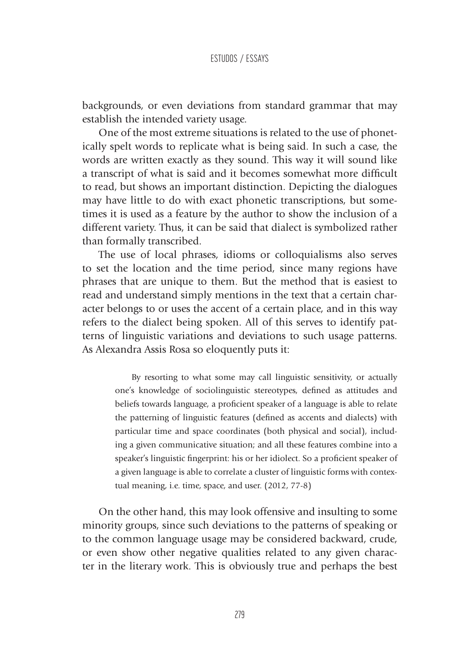backgrounds, or even deviations from standard grammar that may establish the intended variety usage.

One of the most extreme situations is related to the use of phonetically spelt words to replicate what is being said. In such a case, the words are written exactly as they sound. This way it will sound like a transcript of what is said and it becomes somewhat more difficult to read, but shows an important distinction. Depicting the dialogues may have little to do with exact phonetic transcriptions, but sometimes it is used as a feature by the author to show the inclusion of a different variety. Thus, it can be said that dialect is symbolized rather than formally transcribed.

The use of local phrases, idioms or colloquialisms also serves to set the location and the time period, since many regions have phrases that are unique to them. But the method that is easiest to read and understand simply mentions in the text that a certain character belongs to or uses the accent of a certain place, and in this way refers to the dialect being spoken. All of this serves to identify patterns of linguistic variations and deviations to such usage patterns. As Alexandra Assis Rosa so eloquently puts it:

> By resorting to what some may call linguistic sensitivity, or actually one's knowledge of sociolinguistic stereotypes, defined as attitudes and beliefs towards language, a proficient speaker of a language is able to relate the patterning of linguistic features (defined as accents and dialects) with particular time and space coordinates (both physical and social), including a given communicative situation; and all these features combine into a speaker's linguistic fingerprint: his or her idiolect. So a proficient speaker of a given language is able to correlate a cluster of linguistic forms with contextual meaning, i.e. time, space, and user. (2012, 77-8)

On the other hand, this may look offensive and insulting to some minority groups, since such deviations to the patterns of speaking or to the common language usage may be considered backward, crude, or even show other negative qualities related to any given character in the literary work. This is obviously true and perhaps the best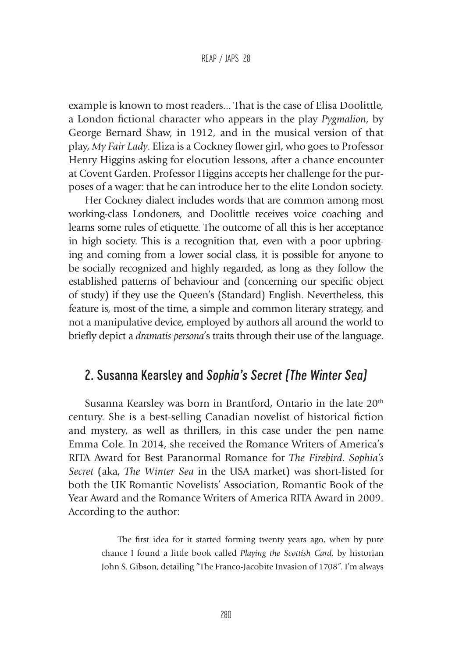example is known to most readers... That is the case of Elisa Doolittle, a London fictional character who appears in the play *Pygmalion*, by George Bernard Shaw, in 1912, and in the musical version of that play, *My Fair Lady*. Eliza is a Cockney flower girl, who goes to Professor Henry Higgins asking for elocution lessons, after a chance encounter at Covent Garden. Professor Higgins accepts her challenge for the purposes of a wager: that he can introduce her to the elite London society.

Her Cockney dialect includes words that are common among most working-class Londoners, and Doolittle receives voice coaching and learns some rules of etiquette. The outcome of all this is her acceptance in high society. This is a recognition that, even with a poor upbringing and coming from a lower social class, it is possible for anyone to be socially recognized and highly regarded, as long as they follow the established patterns of behaviour and (concerning our specific object of study) if they use the Queen's (Standard) English. Nevertheless, this feature is, most of the time, a simple and common literary strategy, and not a manipulative device, employed by authors all around the world to briefly depict a *dramatis persona*'s traits through their use of the language.

# 2. Susanna Kearsley and *Sophia's Secret (The Winter Sea)*

Susanna Kearsley was born in Brantford, Ontario in the late 20<sup>th</sup> century. She is a best-selling Canadian novelist of historical fiction and mystery, as well as thrillers, in this case under the pen name Emma Cole. In 2014, she received the Romance Writers of America's RITA Award for Best Paranormal Romance for *The Firebird*. *Sophia's Secret* (aka, *The Winter Sea* in the USA market) was short-listed for both the UK Romantic Novelists' Association, Romantic Book of the Year Award and the Romance Writers of America RITA Award in 2009. According to the author:

> The first idea for it started forming twenty years ago, when by pure chance I found a little book called *Playing the Scottish Card*, by historian John S. Gibson, detailing "The Franco-Jacobite Invasion of 1708". I'm always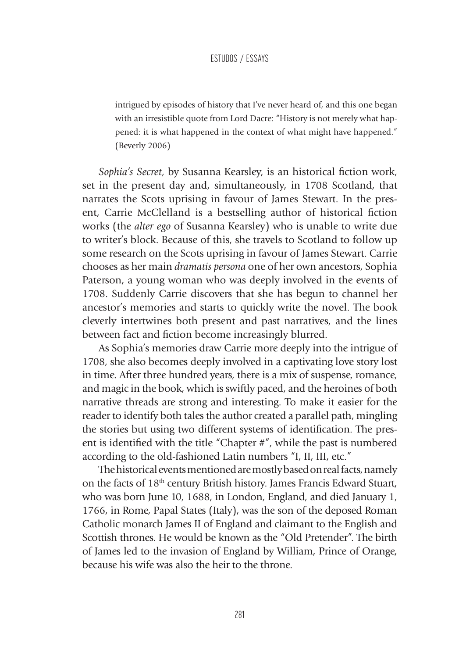intrigued by episodes of history that I've never heard of, and this one began with an irresistible quote from Lord Dacre: "History is not merely what happened: it is what happened in the context of what might have happened." (Beverly 2006)

*Sophia's Secret*, by Susanna Kearsley, is an historical fiction work, set in the present day and, simultaneously, in 1708 Scotland, that narrates the Scots uprising in favour of James Stewart. In the present, Carrie McClelland is a bestselling author of historical fiction works (the *alter ego* of Susanna Kearsley) who is unable to write due to writer's block. Because of this, she travels to Scotland to follow up some research on the Scots uprising in favour of James Stewart. Carrie chooses as her main *dramatis persona* one of her own ancestors, Sophia Paterson, a young woman who was deeply involved in the events of 1708. Suddenly Carrie discovers that she has begun to channel her ancestor's memories and starts to quickly write the novel. The book cleverly intertwines both present and past narratives, and the lines between fact and fiction become increasingly blurred.

As Sophia's memories draw Carrie more deeply into the intrigue of 1708, she also becomes deeply involved in a captivating love story lost in time. After three hundred years, there is a mix of suspense, romance, and magic in the book, which is swiftly paced, and the heroines of both narrative threads are strong and interesting. To make it easier for the reader to identify both tales the author created a parallel path, mingling the stories but using two different systems of identification. The present is identified with the title "Chapter #", while the past is numbered according to the old-fashioned Latin numbers "I, II, III, etc."

The historical events mentioned are mostly based on real facts, namely on the facts of 18<sup>th</sup> century British history. James Francis Edward Stuart, who was born June 10, 1688, in London, England, and died January 1, 1766, in Rome, Papal States (Italy), was the son of the deposed Roman Catholic monarch James II of England and claimant to the English and Scottish thrones. He would be known as the "Old Pretender". The birth of James led to the invasion of England by William, Prince of Orange, because his wife was also the heir to the throne.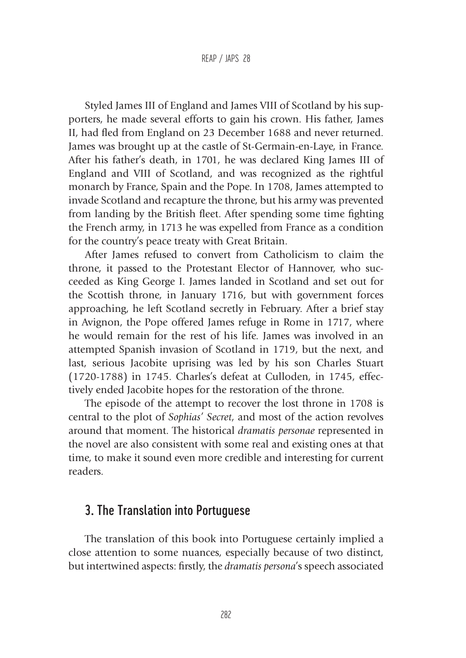Styled James III of England and James VIII of Scotland by his supporters, he made several efforts to gain his crown. His father, James II, had fled from England on 23 December 1688 and never returned. James was brought up at the castle of St-Germain-en-Laye, in France. After his father's death, in 1701, he was declared King James III of England and VIII of Scotland, and was recognized as the rightful monarch by France, Spain and the Pope. In 1708, James attempted to invade Scotland and recapture the throne, but his army was prevented from landing by the British fleet. After spending some time fighting the French army, in 1713 he was expelled from France as a condition for the country's peace treaty with Great Britain.

After James refused to convert from Catholicism to claim the throne, it passed to the Protestant Elector of Hannover, who succeeded as King George I. James landed in Scotland and set out for the Scottish throne, in January 1716, but with government forces approaching, he left Scotland secretly in February. After a brief stay in Avignon, the Pope offered James refuge in Rome in 1717, where he would remain for the rest of his life. James was involved in an attempted Spanish invasion of Scotland in 1719, but the next, and last, serious Jacobite uprising was led by his son Charles Stuart (1720-1788) in 1745. Charles's defeat at Culloden, in 1745, effectively ended Jacobite hopes for the restoration of the throne.

The episode of the attempt to recover the lost throne in 1708 is central to the plot of *Sophias' Secret*, and most of the action revolves around that moment. The historical *dramatis personae* represented in the novel are also consistent with some real and existing ones at that time, to make it sound even more credible and interesting for current readers.

# 3. The Translation into Portuguese

The translation of this book into Portuguese certainly implied a close attention to some nuances, especially because of two distinct, but intertwined aspects: firstly, the *dramatis persona*'s speech associated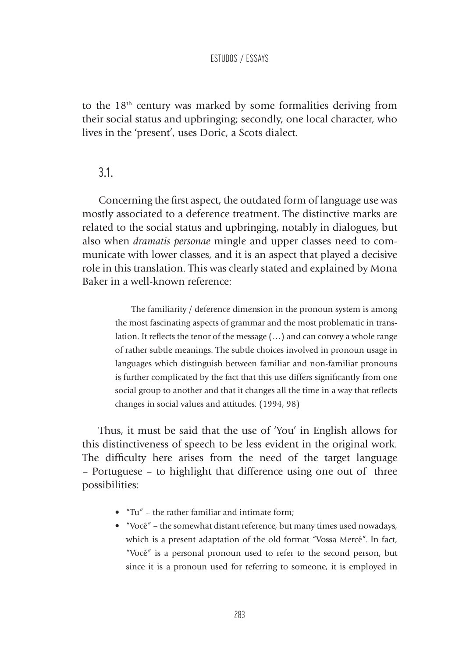to the 18<sup>th</sup> century was marked by some formalities deriving from their social status and upbringing; secondly, one local character, who lives in the 'present', uses Doric, a Scots dialect.

### 3.1.

Concerning the first aspect, the outdated form of language use was mostly associated to a deference treatment. The distinctive marks are related to the social status and upbringing, notably in dialogues, but also when *dramatis personae* mingle and upper classes need to communicate with lower classes, and it is an aspect that played a decisive role in this translation. This was clearly stated and explained by Mona Baker in a well-known reference:

> The familiarity / deference dimension in the pronoun system is among the most fascinating aspects of grammar and the most problematic in translation. It reflects the tenor of the message (…) and can convey a whole range of rather subtle meanings. The subtle choices involved in pronoun usage in languages which distinguish between familiar and non-familiar pronouns is further complicated by the fact that this use differs significantly from one social group to another and that it changes all the time in a way that reflects changes in social values and attitudes. (1994, 98)

Thus, it must be said that the use of 'You' in English allows for this distinctiveness of speech to be less evident in the original work. The difficulty here arises from the need of the target language – Portuguese – to highlight that difference using one out of three possibilities:

- "Tu" the rather familiar and intimate form;
- "Você" the somewhat distant reference, but many times used nowadays, which is a present adaptation of the old format "Vossa Mercê". In fact, "Você" is a personal pronoun used to refer to the second person, but since it is a pronoun used for referring to someone, it is employed in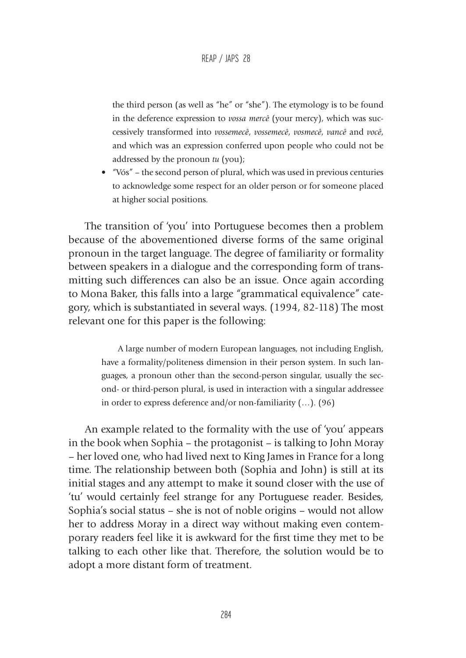the third person (as well as "he" or "she"). The etymology is to be found in the deference expression to *vossa mercê* (your mercy), which was successively transformed into *vossemecê*, *vossemecê*, *vosmecê*, *vancê* and *você*, and which was an expression conferred upon people who could not be addressed by the pronoun *tu* (you);

• "Vós" – the second person of plural, which was used in previous centuries to acknowledge some respect for an older person or for someone placed at higher social positions.

The transition of 'you' into Portuguese becomes then a problem because of the abovementioned diverse forms of the same original pronoun in the target language. The degree of familiarity or formality between speakers in a dialogue and the corresponding form of transmitting such differences can also be an issue. Once again according to Mona Baker, this falls into a large "grammatical equivalence" category, which is substantiated in several ways. (1994, 82-118) The most relevant one for this paper is the following:

> A large number of modern European languages, not including English, have a formality/politeness dimension in their person system. In such languages, a pronoun other than the second-person singular, usually the second- or third-person plural, is used in interaction with a singular addressee in order to express deference and/or non-familiarity (…). (96)

An example related to the formality with the use of 'you' appears in the book when Sophia – the protagonist – is talking to John Moray – her loved one, who had lived next to King James in France for a long time. The relationship between both (Sophia and John) is still at its initial stages and any attempt to make it sound closer with the use of 'tu' would certainly feel strange for any Portuguese reader. Besides, Sophia's social status – she is not of noble origins – would not allow her to address Moray in a direct way without making even contemporary readers feel like it is awkward for the first time they met to be talking to each other like that. Therefore, the solution would be to adopt a more distant form of treatment.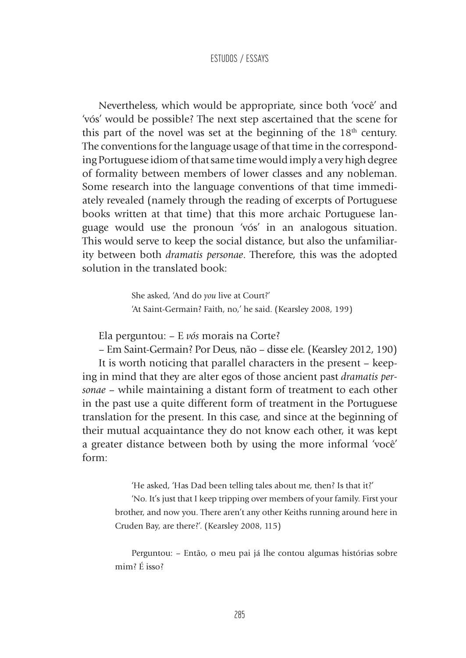Nevertheless, which would be appropriate, since both 'você' and 'vós' would be possible? The next step ascertained that the scene for this part of the novel was set at the beginning of the  $18<sup>th</sup>$  century. The conventions for the language usage of that time in the corresponding Portuguese idiom of that same time would imply a very high degree of formality between members of lower classes and any nobleman. Some research into the language conventions of that time immediately revealed (namely through the reading of excerpts of Portuguese books written at that time) that this more archaic Portuguese language would use the pronoun 'vós' in an analogous situation. This would serve to keep the social distance, but also the unfamiliarity between both *dramatis personae*. Therefore, this was the adopted solution in the translated book:

> She asked, 'And do *you* live at Court?' 'At Saint-Germain? Faith, no,' he said. (Kearsley 2008, 199)

Ela perguntou: – E *vós* morais na Corte?

– Em Saint-Germain? Por Deus, não – disse ele. (Kearsley 2012, 190) It is worth noticing that parallel characters in the present – keeping in mind that they are alter egos of those ancient past *dramatis personae* – while maintaining a distant form of treatment to each other in the past use a quite different form of treatment in the Portuguese translation for the present. In this case, and since at the beginning of their mutual acquaintance they do not know each other, it was kept a greater distance between both by using the more informal 'você' form:

> 'He asked, 'Has Dad been telling tales about me, then? Is that it?' 'No. It's just that I keep tripping over members of your family. First your brother, and now you. There aren't any other Keiths running around here in Cruden Bay, are there?'. (Kearsley 2008, 115)

> Perguntou: – Então, o meu pai já lhe contou algumas histórias sobre mim? É isso?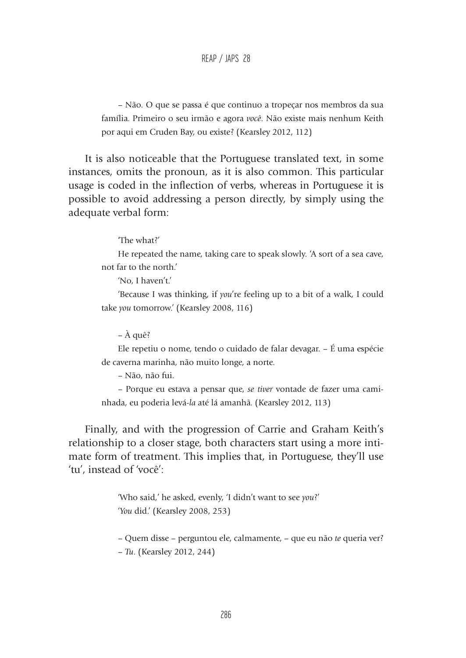#### REAP / JAPS 28

– Não. O que se passa é que continuo a tropeçar nos membros da sua família. Primeiro o seu irmão e agora *você*. Não existe mais nenhum Keith por aqui em Cruden Bay, ou existe? (Kearsley 2012, 112)

It is also noticeable that the Portuguese translated text, in some instances, omits the pronoun, as it is also common. This particular usage is coded in the inflection of verbs, whereas in Portuguese it is possible to avoid addressing a person directly, by simply using the adequate verbal form:

'The what?'

He repeated the name, taking care to speak slowly. 'A sort of a sea cave, not far to the north.'

'No, I haven't.'

'Because I was thinking, if *you*'re feeling up to a bit of a walk, I could take *you* tomorrow.' (Kearsley 2008, 116)

– À quê?

Ele repetiu o nome, tendo o cuidado de falar devagar. – É uma espécie de caverna marinha, não muito longe, a norte.

– Não, não fui.

– Porque eu estava a pensar que, *se tiver* vontade de fazer uma caminhada, eu poderia levá-*la* até lá amanhã. (Kearsley 2012, 113)

Finally, and with the progression of Carrie and Graham Keith's relationship to a closer stage, both characters start using a more intimate form of treatment. This implies that, in Portuguese, they'll use 'tu', instead of 'você':

> 'Who said,' he asked, evenly, 'I didn't want to see *you*?' '*You* did.' (Kearsley 2008, 253)

– Quem disse – perguntou ele, calmamente, – que eu não *te* queria ver? – *Tu*. (Kearsley 2012, 244)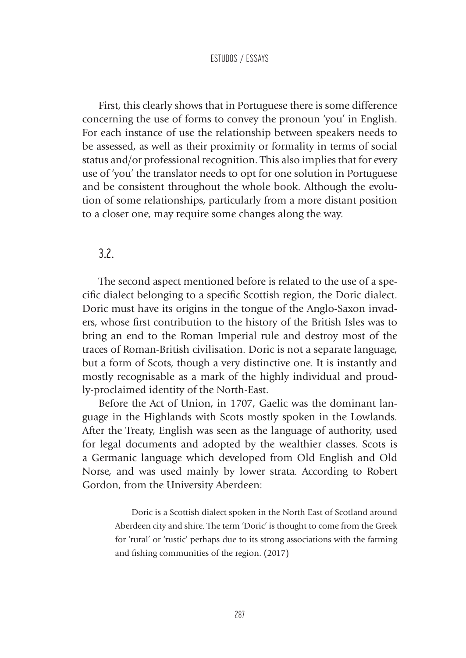First, this clearly shows that in Portuguese there is some difference concerning the use of forms to convey the pronoun 'you' in English. For each instance of use the relationship between speakers needs to be assessed, as well as their proximity or formality in terms of social status and/or professional recognition. This also implies that for every use of 'you' the translator needs to opt for one solution in Portuguese and be consistent throughout the whole book. Although the evolution of some relationships, particularly from a more distant position to a closer one, may require some changes along the way.

## 3.2.

The second aspect mentioned before is related to the use of a specific dialect belonging to a specific Scottish region, the Doric dialect. Doric must have its origins in the tongue of the Anglo-Saxon invaders, whose first contribution to the history of the British Isles was to bring an end to the Roman Imperial rule and destroy most of the traces of Roman-British civilisation. Doric is not a separate language, but a form of Scots, though a very distinctive one. It is instantly and mostly recognisable as a mark of the highly individual and proudly-proclaimed identity of the North-East.

Before the Act of Union, in 1707, Gaelic was the dominant language in the Highlands with Scots mostly spoken in the Lowlands. After the Treaty, English was seen as the language of authority, used for legal documents and adopted by the wealthier classes. Scots is a Germanic language which developed from Old English and Old Norse, and was used mainly by lower strata. According to Robert Gordon, from the University Aberdeen:

> Doric is a Scottish dialect spoken in the North East of Scotland around Aberdeen city and shire. The term 'Doric' is thought to come from the Greek for 'rural' or 'rustic' perhaps due to its strong associations with the farming and fishing communities of the region. (2017)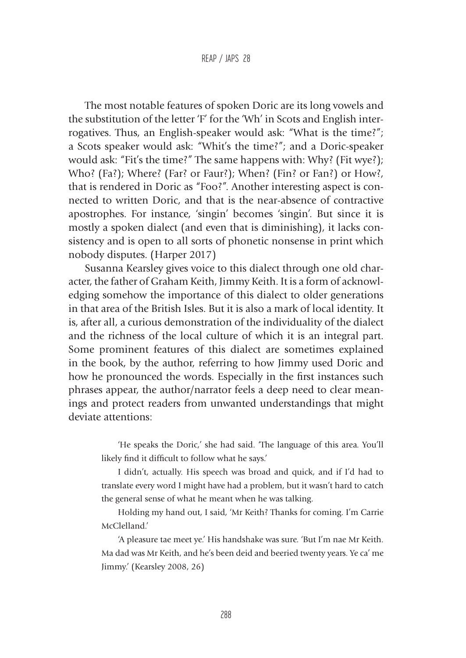The most notable features of spoken Doric are its long vowels and the substitution of the letter 'F' for the 'Wh' in Scots and English interrogatives. Thus, an English-speaker would ask: "What is the time?"; a Scots speaker would ask: "Whit's the time?"; and a Doric-speaker would ask: "Fit's the time?" The same happens with: Why? (Fit wye?); Who? (Fa?); Where? (Far? or Faur?); When? (Fin? or Fan?) or How?, that is rendered in Doric as "Foo?". Another interesting aspect is connected to written Doric, and that is the near-absence of contractive apostrophes. For instance, 'singin' becomes 'singin'. But since it is mostly a spoken dialect (and even that is diminishing), it lacks consistency and is open to all sorts of phonetic nonsense in print which nobody disputes. (Harper 2017)

Susanna Kearsley gives voice to this dialect through one old character, the father of Graham Keith, Jimmy Keith. It is a form of acknowledging somehow the importance of this dialect to older generations in that area of the British Isles. But it is also a mark of local identity. It is, after all, a curious demonstration of the individuality of the dialect and the richness of the local culture of which it is an integral part. Some prominent features of this dialect are sometimes explained in the book, by the author, referring to how Jimmy used Doric and how he pronounced the words. Especially in the first instances such phrases appear, the author/narrator feels a deep need to clear meanings and protect readers from unwanted understandings that might deviate attentions:

> 'He speaks the Doric,' she had said. 'The language of this area. You'll likely find it difficult to follow what he says.'

> I didn't, actually. His speech was broad and quick, and if I'd had to translate every word I might have had a problem, but it wasn't hard to catch the general sense of what he meant when he was talking.

> Holding my hand out, I said, 'Mr Keith? Thanks for coming. I'm Carrie McClelland.'

> 'A pleasure tae meet ye.' His handshake was sure. 'But I'm nae Mr Keith. Ma dad was Mr Keith, and he's been deid and beeried twenty years. Ye ca' me Jimmy.' (Kearsley 2008, 26)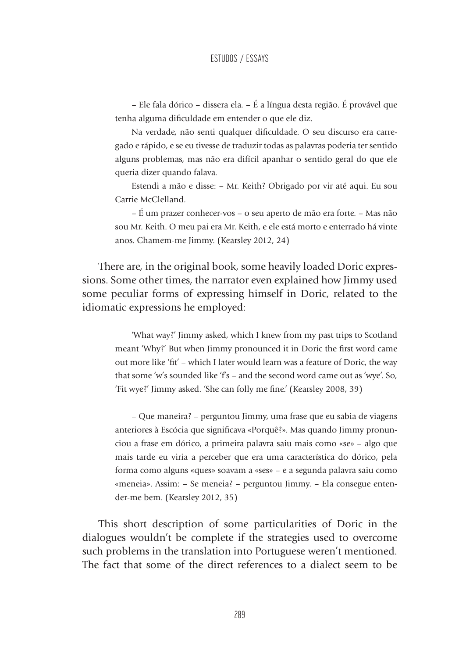– Ele fala dórico – dissera ela. – É a língua desta região. É provável que tenha alguma dificuldade em entender o que ele diz.

Na verdade, não senti qualquer dificuldade. O seu discurso era carregado e rápido, e se eu tivesse de traduzir todas as palavras poderia ter sentido alguns problemas, mas não era difícil apanhar o sentido geral do que ele queria dizer quando falava.

Estendi a mão e disse: – Mr. Keith? Obrigado por vir até aqui. Eu sou Carrie McClelland.

– É um prazer conhecer-vos – o seu aperto de mão era forte. – Mas não sou Mr. Keith. O meu pai era Mr. Keith, e ele está morto e enterrado há vinte anos. Chamem-me Jimmy. (Kearsley 2012, 24)

There are, in the original book, some heavily loaded Doric expressions. Some other times, the narrator even explained how Jimmy used some peculiar forms of expressing himself in Doric, related to the idiomatic expressions he employed:

> 'What way?' Jimmy asked, which I knew from my past trips to Scotland meant 'Why?' But when Jimmy pronounced it in Doric the first word came out more like 'fit' – which I later would learn was a feature of Doric, the way that some 'w's sounded like 'f's – and the second word came out as 'wye'. So, 'Fit wye?' Jimmy asked. 'She can folly me fine.' (Kearsley 2008, 39)

> – Que maneira? – perguntou Jimmy, uma frase que eu sabia de viagens anteriores à Escócia que significava «Porquê?». Mas quando Jimmy pronunciou a frase em dórico, a primeira palavra saiu mais como «se» – algo que mais tarde eu viria a perceber que era uma característica do dórico, pela forma como alguns «ques» soavam a «ses» – e a segunda palavra saiu como «meneia». Assim: – Se meneia? – perguntou Jimmy. – Ela consegue entender-me bem. (Kearsley 2012, 35)

This short description of some particularities of Doric in the dialogues wouldn't be complete if the strategies used to overcome such problems in the translation into Portuguese weren't mentioned. The fact that some of the direct references to a dialect seem to be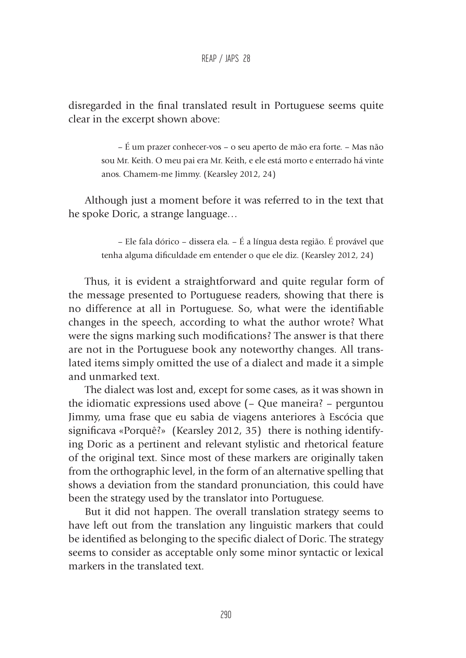disregarded in the final translated result in Portuguese seems quite clear in the excerpt shown above:

> – É um prazer conhecer-vos – o seu aperto de mão era forte. – Mas não sou Mr. Keith. O meu pai era Mr. Keith, e ele está morto e enterrado há vinte anos. Chamem-me Jimmy. (Kearsley 2012, 24)

Although just a moment before it was referred to in the text that he spoke Doric, a strange language…

> – Ele fala dórico – dissera ela. – É a língua desta região. É provável que tenha alguma dificuldade em entender o que ele diz. (Kearsley 2012, 24)

Thus, it is evident a straightforward and quite regular form of the message presented to Portuguese readers, showing that there is no difference at all in Portuguese. So, what were the identifiable changes in the speech, according to what the author wrote? What were the signs marking such modifications? The answer is that there are not in the Portuguese book any noteworthy changes. All translated items simply omitted the use of a dialect and made it a simple and unmarked text.

The dialect was lost and, except for some cases, as it was shown in the idiomatic expressions used above (– Que maneira? – perguntou Jimmy, uma frase que eu sabia de viagens anteriores à Escócia que significava «Porquê?» (Kearsley 2012, 35) there is nothing identifying Doric as a pertinent and relevant stylistic and rhetorical feature of the original text. Since most of these markers are originally taken from the orthographic level, in the form of an alternative spelling that shows a deviation from the standard pronunciation, this could have been the strategy used by the translator into Portuguese.

But it did not happen. The overall translation strategy seems to have left out from the translation any linguistic markers that could be identified as belonging to the specific dialect of Doric. The strategy seems to consider as acceptable only some minor syntactic or lexical markers in the translated text.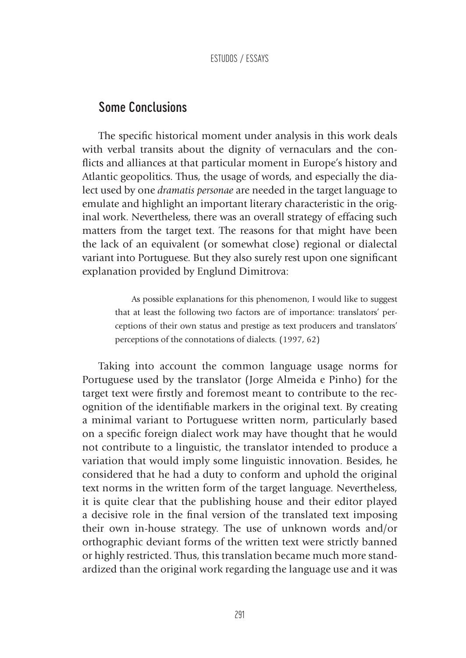## Some Conclusions

The specific historical moment under analysis in this work deals with verbal transits about the dignity of vernaculars and the conflicts and alliances at that particular moment in Europe's history and Atlantic geopolitics. Thus, the usage of words, and especially the dialect used by one *dramatis personae* are needed in the target language to emulate and highlight an important literary characteristic in the original work. Nevertheless, there was an overall strategy of effacing such matters from the target text. The reasons for that might have been the lack of an equivalent (or somewhat close) regional or dialectal variant into Portuguese. But they also surely rest upon one significant explanation provided by Englund Dimitrova:

> As possible explanations for this phenomenon, I would like to suggest that at least the following two factors are of importance: translators' perceptions of their own status and prestige as text producers and translators' perceptions of the connotations of dialects. (1997, 62)

Taking into account the common language usage norms for Portuguese used by the translator (Jorge Almeida e Pinho) for the target text were firstly and foremost meant to contribute to the recognition of the identifiable markers in the original text. By creating a minimal variant to Portuguese written norm, particularly based on a specific foreign dialect work may have thought that he would not contribute to a linguistic, the translator intended to produce a variation that would imply some linguistic innovation. Besides, he considered that he had a duty to conform and uphold the original text norms in the written form of the target language. Nevertheless, it is quite clear that the publishing house and their editor played a decisive role in the final version of the translated text imposing their own in-house strategy. The use of unknown words and/or orthographic deviant forms of the written text were strictly banned or highly restricted. Thus, this translation became much more standardized than the original work regarding the language use and it was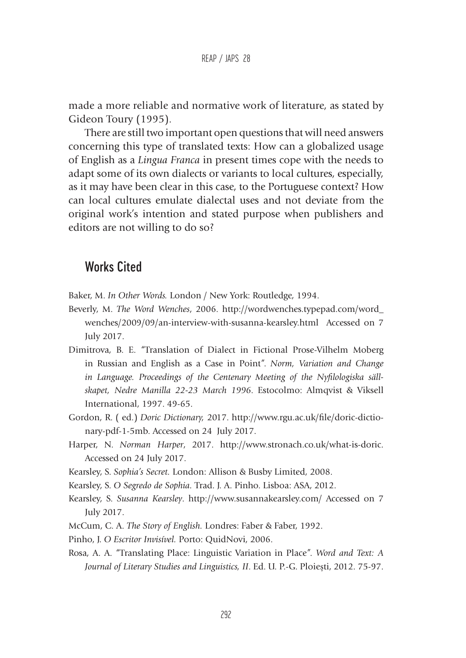made a more reliable and normative work of literature, as stated by Gideon Toury (1995).

There are still two important open questions that will need answers concerning this type of translated texts: How can a globalized usage of English as a *Lingua Franca* in present times cope with the needs to adapt some of its own dialects or variants to local cultures, especially, as it may have been clear in this case, to the Portuguese context? How can local cultures emulate dialectal uses and not deviate from the original work's intention and stated purpose when publishers and editors are not willing to do so?

# Works Cited

Baker, M. *In Other Words.* London / New York: Routledge, 1994.

- Beverly, M. *The Word Wenches*, 2006. http://wordwenches.typepad.com/word\_ wenches/2009/09/an-interview-with-susanna-kearsley.html Accessed on 7 July 2017.
- Dimitrova, B. E. "Translation of Dialect in Fictional Prose-Vilhelm Moberg in Russian and English as a Case in Point". *Norm, Variation and Change in Language. Proceedings of the Centenary Meeting of the Nyfilologiska sällskapet, Nedre Manilla 22-23 March 1996*. Estocolmo: Almqvist & Viksell International, 1997. 49-65.
- Gordon, R. ( ed.) *Doric Dictionary,* 2017. http://www.rgu.ac.uk/file/doric-dictionary-pdf-1-5mb. Accessed on 24 July 2017.
- Harper, N. *Norman Harper*, 2017. http://www.stronach.co.uk/what-is-doric. Accessed on 24 July 2017.
- Kearsley, S. *Sophia's Secret.* London: Allison & Busby Limited, 2008.
- Kearsley, S. *O Segredo de Sophia.* Trad. J. A. Pinho. Lisboa: ASA, 2012.
- Kearsley, S. *Susanna Kearsley*. http://www.susannakearsley.com/ Accessed on 7 July 2017.
- McCum, C. A. *The Story of English.* Londres: Faber & Faber, 1992.
- Pinho, J. *O Escritor Invisível.* Porto: QuidNovi, 2006.
- Rosa, A. A. "Translating Place: Linguistic Variation in Place". *Word and Text: A Journal of Literary Studies and Linguistics, II*. Ed. U. P.-G. Ploiești, 2012. 75-97.